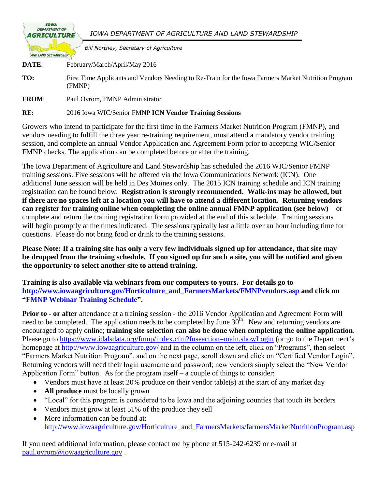| <b>IOWA</b><br><b>DEPARTMENT OF</b><br><b>AGRICULTURE</b> | IOWA DEPARTMENT OF AGRICULTURE AND LAND STEWARDSHIP                                                           |
|-----------------------------------------------------------|---------------------------------------------------------------------------------------------------------------|
| <b>AND LAND STEWARDSHIP</b>                               | <b>Bill Northey, Secretary of Agriculture</b>                                                                 |
| DATE:                                                     | February/March/April/May 2016                                                                                 |
| TO:                                                       | First Time Applicants and Vendors Needing to Re-Train for the Iowa Farmers Market Nutrition Program<br>(FMNP) |
| <b>FROM:</b>                                              | Paul Ovrom, FMNP Administrator                                                                                |

**RE:** 2016 Iowa WIC/Senior FMNP **ICN Vendor Training Sessions**

Growers who intend to participate for the first time in the Farmers Market Nutrition Program (FMNP), and vendors needing to fulfill the three year re-training requirement, must attend a mandatory vendor training session, and complete an annual Vendor Application and Agreement Form prior to accepting WIC/Senior FMNP checks. The application can be completed before or after the training.

The Iowa Department of Agriculture and Land Stewardship has scheduled the 2016 WIC/Senior FMNP training sessions. Five sessions will be offered via the Iowa Communications Network (ICN). One additional June session will be held in Des Moines only. The 2015 ICN training schedule and ICN training registration can be found below. **Registration is strongly recommended. Walk-ins may be allowed, but if there are no spaces left at a location you will have to attend a different location. Returning vendors can register for training online when completing the online annual FMNP application (see below)** – or complete and return the training registration form provided at the end of this schedule. Training sessions will begin promptly at the times indicated. The sessions typically last a little over an hour including time for questions. Please do not bring food or drink to the training sessions.

**Please Note: If a training site has only a very few individuals signed up for attendance, that site may be dropped from the training schedule. If you signed up for such a site, you will be notified and given the opportunity to select another site to attend training.**

**Training is also available via webinars from our computers to yours. For details go to [http://www.iowaagriculture.gov/Horticulture\\_and\\_FarmersMarkets/FMNPvendors.asp](http://www.iowaagriculture.gov/Horticulture_and_FarmersMarkets/FMNPvendors.asp) and click on ["FMNP Webinar Training Schedule"](http://www.iowaagriculture.gov/Horticulture_and_FarmersMarkets/pdfs/2014/2014_Vendor_Training_Via_Webinar_Letter.pdf).**

**Prior to - or after** attendance at a training session - the 2016 Vendor Application and Agreement Form will need to be completed. The application needs to be completed by June  $30<sup>th</sup>$ . New and returning vendors are encouraged to apply online; **training site selection can also be done when completing the online application**. Please go to<https://www.idalsdata.org/fmnp/index.cfm?fuseaction=main.showLogin> (or go to the Department's homepage at<http://www.iowaagriculture.gov/> and in the column on the left, click on "Programs", then select "Farmers Market Nutrition Program", and on the next page, scroll down and click on "Certified Vendor Login". Returning vendors will need their login username and password; new vendors simply select the "New Vendor Application Form" button. As for the program itself – a couple of things to consider:

- Vendors must have at least 20% produce on their vendor table(s) at the start of any market day
- **All produce** must be locally grown
- "Local" for this program is considered to be Iowa and the adjoining counties that touch its borders
- Vendors must grow at least 51% of the produce they sell
- More information can be found at: [http://www.iowaagriculture.gov/Horticulture\\_and\\_FarmersMarkets/farmersMarketNutritionProgram.asp](http://www.iowaagriculture.gov/Horticulture_and_FarmersMarkets/farmersMarketNutritionProgram.asp)

If you need additional information, please contact me by phone at 515-242-6239 or e-mail at [paul.ovrom@iowaagriculture.gov](mailto:paul.ovrom@iowaagriculture.gov) .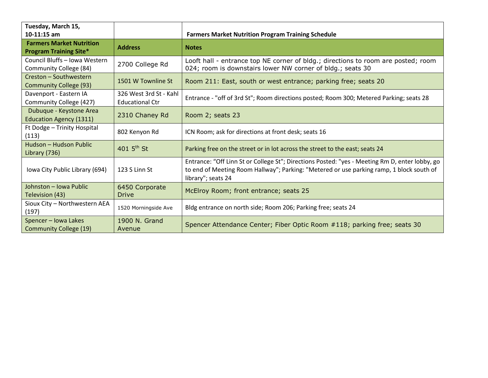| Tuesday, March 15,                                                                              |                                                                                                                                             |                                                                                                                                                                                                                  |  |
|-------------------------------------------------------------------------------------------------|---------------------------------------------------------------------------------------------------------------------------------------------|------------------------------------------------------------------------------------------------------------------------------------------------------------------------------------------------------------------|--|
| $10-11:15$ am                                                                                   |                                                                                                                                             | <b>Farmers Market Nutrition Program Training Schedule</b>                                                                                                                                                        |  |
| <b>Farmers Market Nutrition</b><br><b>Program Training Site*</b>                                | <b>Address</b>                                                                                                                              | <b>Notes</b>                                                                                                                                                                                                     |  |
| Council Bluffs - Iowa Western<br>Community College (84)                                         | 2700 College Rd                                                                                                                             | Looft hall - entrance top NE corner of bldg.; directions to room are posted; room<br>024; room is downstairs lower NW corner of bldg.; seats 30                                                                  |  |
| Creston - Southwestern<br>1501 W Townline St<br><b>Community College (93)</b>                   |                                                                                                                                             | Room 211: East, south or west entrance; parking free; seats 20                                                                                                                                                   |  |
| Davenport - Eastern IA<br>Community College (427)                                               | 326 West 3rd St - Kahl<br>Entrance - "off of 3rd St"; Room directions posted; Room 300; Metered Parking; seats 28<br><b>Educational Ctr</b> |                                                                                                                                                                                                                  |  |
| Dubuque - Keystone Area<br>2310 Chaney Rd<br>Room 2; seats 23<br><b>Education Agency (1311)</b> |                                                                                                                                             |                                                                                                                                                                                                                  |  |
| Ft Dodge - Trinity Hospital<br>(113)                                                            | 802 Kenyon Rd                                                                                                                               | ICN Room; ask for directions at front desk; seats 16                                                                                                                                                             |  |
| Hudson - Hudson Public<br>Library (736)                                                         | 401 $5^{th}$ St                                                                                                                             | Parking free on the street or in lot across the street to the east; seats 24                                                                                                                                     |  |
| Iowa City Public Library (694)                                                                  | 123 S Linn St                                                                                                                               | Entrance: "Off Linn St or College St"; Directions Posted: "yes - Meeting Rm D, enter lobby, go<br>to end of Meeting Room Hallway"; Parking: "Metered or use parking ramp, 1 block south of<br>library"; seats 24 |  |
| Johnston - Iowa Public<br>Television (43)                                                       | 6450 Corporate<br><b>Drive</b>                                                                                                              | McElroy Room; front entrance; seats 25                                                                                                                                                                           |  |
| Sioux City - Northwestern AEA<br>(197)                                                          | 1520 Morningside Ave                                                                                                                        | Bldg entrance on north side; Room 206; Parking free; seats 24                                                                                                                                                    |  |
| Spencer - Iowa Lakes<br><b>Community College (19)</b>                                           | 1900 N. Grand<br>Avenue                                                                                                                     | Spencer Attendance Center; Fiber Optic Room #118; parking free; seats 30                                                                                                                                         |  |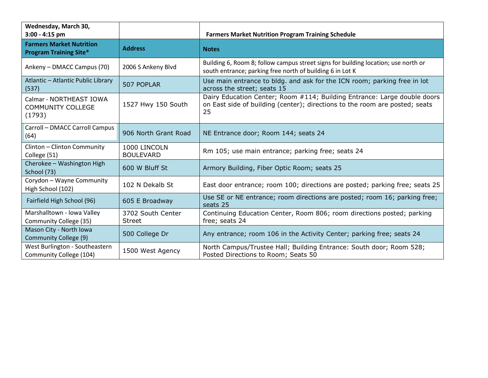| Wednesday, March 30,<br>$3:00 - 4:15$ pm                         |                                    | <b>Farmers Market Nutrition Program Training Schedule</b>                                                                                                     |  |
|------------------------------------------------------------------|------------------------------------|---------------------------------------------------------------------------------------------------------------------------------------------------------------|--|
| <b>Farmers Market Nutrition</b><br><b>Program Training Site*</b> | <b>Address</b>                     | <b>Notes</b>                                                                                                                                                  |  |
| Ankeny - DMACC Campus (70)                                       | 2006 S Ankeny Blvd                 | Building 6, Room 8; follow campus street signs for building location; use north or<br>south entrance; parking free north of building 6 in Lot K               |  |
| Atlantic - Atlantic Public Library<br>(537)                      | 507 POPLAR                         | Use main entrance to bldg. and ask for the ICN room; parking free in lot<br>across the street; seats 15                                                       |  |
| Calmar - NORTHEAST IOWA<br><b>COMMUNITY COLLEGE</b><br>(1793)    | 1527 Hwy 150 South                 | Dairy Education Center; Room #114; Building Entrance: Large double doors<br>on East side of building (center); directions to the room are posted; seats<br>25 |  |
| Carroll - DMACC Carroll Campus<br>(64)                           | 906 North Grant Road               | NE Entrance door; Room 144; seats 24                                                                                                                          |  |
| Clinton - Clinton Community<br>College (51)                      | 1000 LINCOLN<br><b>BOULEVARD</b>   | Rm 105; use main entrance; parking free; seats 24                                                                                                             |  |
| Cherokee - Washington High<br>School (73)                        | 600 W Bluff St                     | Armory Building, Fiber Optic Room; seats 25                                                                                                                   |  |
| Corydon - Wayne Community<br>High School (102)                   | 102 N Dekalb St                    | East door entrance; room 100; directions are posted; parking free; seats 25                                                                                   |  |
| Fairfield High School (96)                                       | 605 E Broadway                     | Use SE or NE entrance; room directions are posted; room 16; parking free;<br>seats 25                                                                         |  |
| Marshalltown - Iowa Valley<br>Community College (35)             | 3702 South Center<br><b>Street</b> | Continuing Education Center, Room 806; room directions posted; parking<br>free; seats 24                                                                      |  |
| Mason City - North Iowa<br>Community College (9)                 | 500 College Dr                     | Any entrance; room 106 in the Activity Center; parking free; seats 24                                                                                         |  |
| West Burlington - Southeastern<br>Community College (104)        | 1500 West Agency                   | North Campus/Trustee Hall; Building Entrance: South door; Room 528;<br>Posted Directions to Room; Seats 50                                                    |  |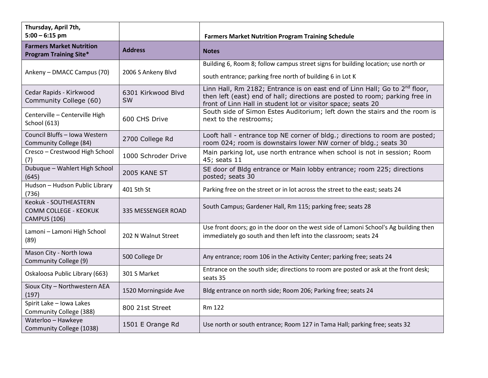| Thursday, April 7th,<br>$5:00 - 6:15$ pm                              |                          | <b>Farmers Market Nutrition Program Training Schedule</b>                                                                                                                                                                              |  |
|-----------------------------------------------------------------------|--------------------------|----------------------------------------------------------------------------------------------------------------------------------------------------------------------------------------------------------------------------------------|--|
| <b>Farmers Market Nutrition</b><br><b>Program Training Site*</b>      | <b>Address</b>           | <b>Notes</b>                                                                                                                                                                                                                           |  |
| Ankeny - DMACC Campus (70)                                            | 2006 S Ankeny Blvd       | Building 6, Room 8; follow campus street signs for building location; use north or<br>south entrance; parking free north of building 6 in Lot K                                                                                        |  |
| Cedar Rapids - Kirkwood<br>Community College (60)                     | 6301 Kirkwood Blvd<br>SW | Linn Hall, Rm 2182; Entrance is on east end of Linn Hall; Go to 2 <sup>nd</sup> floor,<br>then left (east) end of hall; directions are posted to room; parking free in<br>front of Linn Hall in student lot or visitor space; seats 20 |  |
| Centerville - Centerville High<br><b>School (613)</b>                 | 600 CHS Drive            | South side of Simon Estes Auditorium; left down the stairs and the room is<br>next to the restrooms;                                                                                                                                   |  |
| Council Bluffs - Iowa Western<br>Community College (84)               | 2700 College Rd          | Looft hall - entrance top NE corner of bldg.; directions to room are posted;<br>room 024; room is downstairs lower NW corner of bldg.; seats 30                                                                                        |  |
| Cresco - Crestwood High School<br>(7)                                 | 1000 Schroder Drive      | Main parking lot, use north entrance when school is not in session; Room<br>45; seats 11                                                                                                                                               |  |
| Dubuque - Wahlert High School<br>(645)                                | 2005 KANE ST             | SE door of Bldg entrance or Main lobby entrance; room 225; directions<br>posted; seats 30                                                                                                                                              |  |
| Hudson - Hudson Public Library<br>(736)                               | 401 5th St               | Parking free on the street or in lot across the street to the east; seats 24                                                                                                                                                           |  |
| Keokuk - SOUTHEASTERN<br>COMM COLLEGE - KEOKUK<br><b>CAMPUS (106)</b> | 335 MESSENGER ROAD       | South Campus; Gardener Hall, Rm 115; parking free; seats 28                                                                                                                                                                            |  |
| Lamoni - Lamoni High School<br>(89)                                   | 202 N Walnut Street      | Use front doors; go in the door on the west side of Lamoni School's Ag building then<br>immediately go south and then left into the classroom; seats 24                                                                                |  |
| Mason City - North Iowa<br>Community College (9)                      | 500 College Dr           | Any entrance; room 106 in the Activity Center; parking free; seats 24                                                                                                                                                                  |  |
| Oskaloosa Public Library (663)                                        | 301 S Market             | Entrance on the south side; directions to room are posted or ask at the front desk;<br>seats 35                                                                                                                                        |  |
| Sioux City - Northwestern AEA<br>(197)                                | 1520 Morningside Ave     | Bldg entrance on north side; Room 206; Parking free; seats 24                                                                                                                                                                          |  |
| Spirit Lake - Iowa Lakes<br>Community College (388)                   | 800 21st Street          | <b>Rm 122</b>                                                                                                                                                                                                                          |  |
| Waterloo - Hawkeye<br>Community College (1038)                        | 1501 E Orange Rd         | Use north or south entrance; Room 127 in Tama Hall; parking free; seats 32                                                                                                                                                             |  |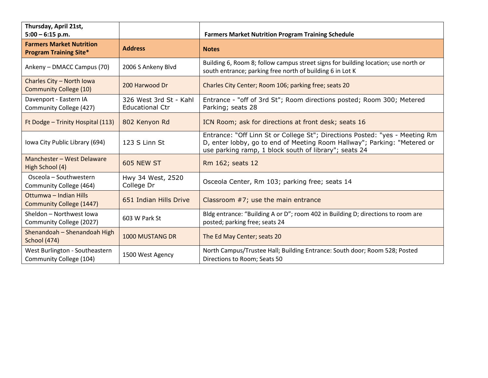| Thursday, April 21st,<br>$5:00 - 6:15$ p.m.                      |                                                  | <b>Farmers Market Nutrition Program Training Schedule</b>                                                                                                                                                        |  |
|------------------------------------------------------------------|--------------------------------------------------|------------------------------------------------------------------------------------------------------------------------------------------------------------------------------------------------------------------|--|
| <b>Farmers Market Nutrition</b><br><b>Program Training Site*</b> | <b>Address</b>                                   | <b>Notes</b>                                                                                                                                                                                                     |  |
| Ankeny - DMACC Campus (70)                                       | 2006 S Ankeny Blvd                               | Building 6, Room 8; follow campus street signs for building location; use north or<br>south entrance; parking free north of building 6 in Lot K                                                                  |  |
| Charles City - North Iowa<br><b>Community College (10)</b>       | 200 Harwood Dr                                   | Charles City Center; Room 106; parking free; seats 20                                                                                                                                                            |  |
| Davenport - Eastern IA<br>Community College (427)                | 326 West 3rd St - Kahl<br><b>Educational Ctr</b> | Entrance - "off of 3rd St"; Room directions posted; Room 300; Metered<br>Parking; seats 28                                                                                                                       |  |
| Ft Dodge - Trinity Hospital (113)                                | 802 Kenyon Rd                                    | ICN Room; ask for directions at front desk; seats 16                                                                                                                                                             |  |
| Iowa City Public Library (694)                                   | 123 S Linn St                                    | Entrance: "Off Linn St or College St"; Directions Posted: "yes - Meeting Rm<br>D, enter lobby, go to end of Meeting Room Hallway"; Parking: "Metered or<br>use parking ramp, 1 block south of library"; seats 24 |  |
| Manchester - West Delaware<br>High School (4)                    | 605 NEW ST                                       | Rm 162; seats 12                                                                                                                                                                                                 |  |
| Osceola - Southwestern<br>Community College (464)                | Hwy 34 West, 2520<br>College Dr                  | Osceola Center, Rm 103; parking free; seats 14                                                                                                                                                                   |  |
| Ottumwa - Indian Hills<br><b>Community College (1447)</b>        | 651 Indian Hills Drive                           | Classroom $#7$ ; use the main entrance                                                                                                                                                                           |  |
| Sheldon - Northwest Iowa<br>Community College (2027)             | 603 W Park St                                    | Bldg entrance: "Building A or D"; room 402 in Building D; directions to room are<br>posted; parking free; seats 24                                                                                               |  |
| Shenandoah - Shenandoah High<br><b>School (474)</b>              | <b>1000 MUSTANG DR</b>                           | The Ed May Center; seats 20                                                                                                                                                                                      |  |
| West Burlington - Southeastern<br>Community College (104)        | 1500 West Agency                                 | North Campus/Trustee Hall; Building Entrance: South door; Room 528; Posted<br>Directions to Room; Seats 50                                                                                                       |  |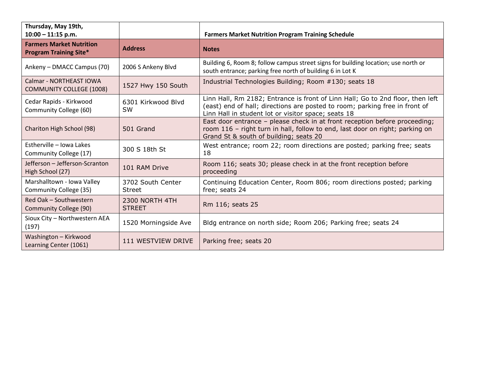| Thursday, May 19th,<br>$10:00 - 11:15$ p.m.                      |                                    | <b>Farmers Market Nutrition Program Training Schedule</b>                                                                                                                                                            |  |
|------------------------------------------------------------------|------------------------------------|----------------------------------------------------------------------------------------------------------------------------------------------------------------------------------------------------------------------|--|
| <b>Farmers Market Nutrition</b><br><b>Program Training Site*</b> | <b>Address</b>                     | <b>Notes</b>                                                                                                                                                                                                         |  |
| Ankeny - DMACC Campus (70)                                       | 2006 S Ankeny Blvd                 | Building 6, Room 8; follow campus street signs for building location; use north or<br>south entrance; parking free north of building 6 in Lot K                                                                      |  |
| Calmar - NORTHEAST IOWA<br><b>COMMUNITY COLLEGE (1008)</b>       | 1527 Hwy 150 South                 | Industrial Technologies Building; Room #130; seats 18                                                                                                                                                                |  |
| Cedar Rapids - Kirkwood<br>Community College (60)                | 6301 Kirkwood Blvd<br><b>SW</b>    | Linn Hall, Rm 2182; Entrance is front of Linn Hall; Go to 2nd floor, then left<br>(east) end of hall; directions are posted to room; parking free in front of<br>Linn Hall in student lot or visitor space; seats 18 |  |
| Chariton High School (98)                                        | 501 Grand                          | East door entrance - please check in at front reception before proceeding;<br>room 116 - right turn in hall, follow to end, last door on right; parking on<br>Grand St & south of building; seats 20                 |  |
| Estherville - Iowa Lakes<br>Community College (17)               | 300 S 18th St                      | West entrance; room 22; room directions are posted; parking free; seats<br>18                                                                                                                                        |  |
| Jefferson - Jefferson-Scranton<br>High School (27)               | 101 RAM Drive                      | Room 116; seats 30; please check in at the front reception before<br>proceeding                                                                                                                                      |  |
| Marshalltown - Iowa Valley<br>Community College (35)             | 3702 South Center<br><b>Street</b> | Continuing Education Center, Room 806; room directions posted; parking<br>free; seats 24                                                                                                                             |  |
| Red Oak - Southwestern<br>Community College (90)                 | 2300 NORTH 4TH<br><b>STREET</b>    | Rm 116; seats 25                                                                                                                                                                                                     |  |
| Sioux City - Northwestern AEA<br>(197)                           | 1520 Morningside Ave               | Bldg entrance on north side; Room 206; Parking free; seats 24                                                                                                                                                        |  |
| Washington - Kirkwood<br>Learning Center (1061)                  | 111 WESTVIEW DRIVE                 | Parking free; seats 20                                                                                                                                                                                               |  |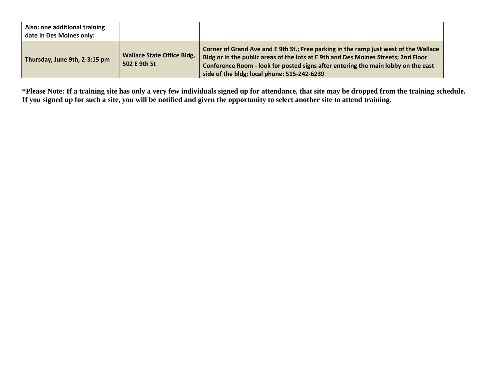| Also: one additional training<br>date in Des Moines only: |                                                   |                                                                                                                                                                                                                                                                                                                |
|-----------------------------------------------------------|---------------------------------------------------|----------------------------------------------------------------------------------------------------------------------------------------------------------------------------------------------------------------------------------------------------------------------------------------------------------------|
| Thursday, June 9th, 2-3:15 pm                             | <b>Wallace State Office Bldg,</b><br>502 E 9th St | Corner of Grand Ave and E 9th St.; Free parking in the ramp just west of the Wallace<br>Bldg or in the public areas of the lots at E 9th and Des Moines Streets; 2nd Floor<br>Conference Room - look for posted signs after entering the main lobby on the east<br>side of the bldg; local phone: 515-242-6239 |

**\*Please Note: If a training site has only a very few individuals signed up for attendance, that site may be dropped from the training schedule. If you signed up for such a site, you will be notified and given the opportunity to select another site to attend training.**